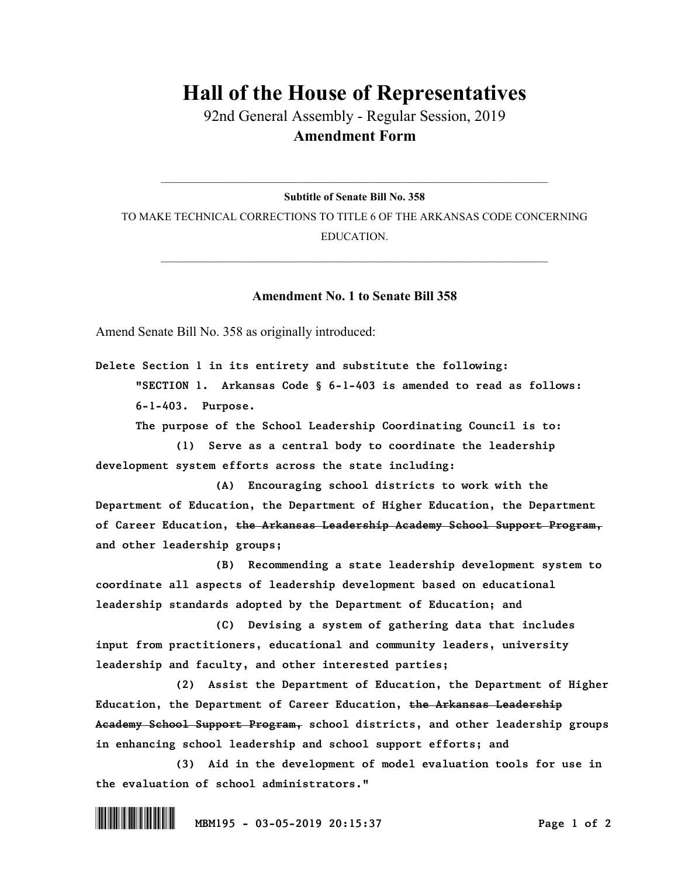## **Hall of the House of Representatives**

92nd General Assembly - Regular Session, 2019 **Amendment Form**

 $\_$  , and the set of the set of the set of the set of the set of the set of the set of the set of the set of the set of the set of the set of the set of the set of the set of the set of the set of the set of the set of th **Subtitle of Senate Bill No. 358**

TO MAKE TECHNICAL CORRECTIONS TO TITLE 6 OF THE ARKANSAS CODE CONCERNING EDUCATION.

 $\_$  , and the set of the set of the set of the set of the set of the set of the set of the set of the set of the set of the set of the set of the set of the set of the set of the set of the set of the set of the set of th

## **Amendment No. 1 to Senate Bill 358**

Amend Senate Bill No. 358 as originally introduced:

*Delete Section 1 in its entirety and substitute the following: "SECTION 1. Arkansas Code § 6-1-403 is amended to read as follows: 6-1-403. Purpose.*

*The purpose of the School Leadership Coordinating Council is to:*

*(1) Serve as a central body to coordinate the leadership development system efforts across the state including:*

*(A) Encouraging school districts to work with the Department of Education, the Department of Higher Education, the Department of Career Education, the Arkansas Leadership Academy School Support Program, and other leadership groups;*

*(B) Recommending a state leadership development system to coordinate all aspects of leadership development based on educational leadership standards adopted by the Department of Education; and*

*(C) Devising a system of gathering data that includes input from practitioners, educational and community leaders, university leadership and faculty, and other interested parties;*

*(2) Assist the Department of Education, the Department of Higher Education, the Department of Career Education, the Arkansas Leadership Academy School Support Program, school districts, and other leadership groups in enhancing school leadership and school support efforts; and*

*(3) Aid in the development of model evaluation tools for use in the evaluation of school administrators."*

\*.MBM195\* *MBM195 - 03-05-2019 20:15:37 Page 1 of 2*